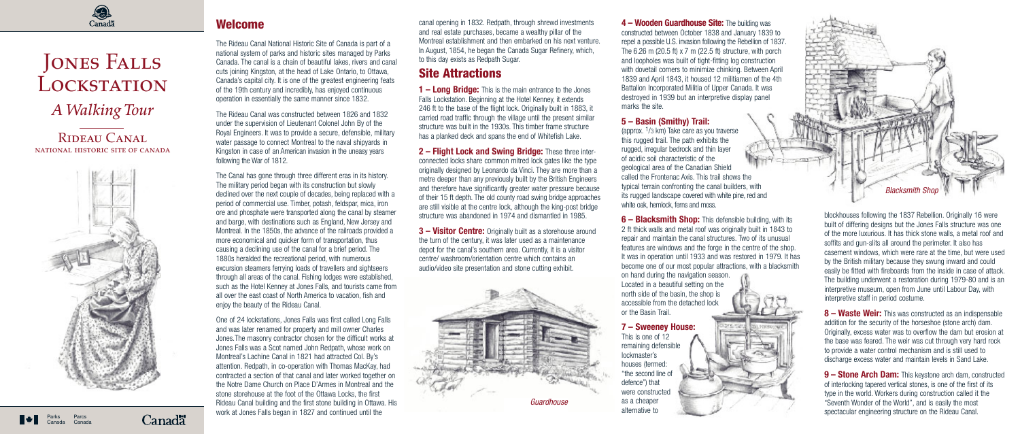canal opening in 1832. Redpath, through shrewd investments and real estate purchases, became <sup>a</sup> wealthy pillar of the Montreal establishment and then embarked on his next venture.In August, 1854, he began the Canada Sugar Refinery, which, to this day exists as Redpath Sugar.

# **Site Attractions**

**1 – Long Bridge:** This is the main entrance to the Jones Falls Lockstation. Beginning at the Hotel Kenney, it extends 246 ft to the base of the flight lock. Originally built in 1883, it carried road traffic through the village until the present similar structure was built in the 1930s. This timber frame structure has <sup>a</sup> planked deck and spans the end of Whitefish Lake.

**2 – Flight Lock and Swing Bridge:** These three interconnected locks share common mitred lock gates like the type originally designed by Leonardo da Vinci. They are more than <sup>a</sup> metre deeper than any previously built by the British Engineers and therefore have significantly greater water pressure because of their 15 ft depth. The old county road swing bridge approaches are still visible at the centre lock, although the king-post bridge structure was abandoned in 1974 and dismantled in 1985.

**3 – Visitor Centre:** Originally built as <sup>a</sup> storehouse around the turn of the century, it was later used as <sup>a</sup> maintenance depot for the canal's southern area. Currently, it is <sup>a</sup> visitor centre/ washroom/orientation centre which contains anaudio/video site presentation and stone cutting exhibit.

**4 – Wooden Guardhouse Site:** The building was constructed between October 1838 and January 1839 to repel <sup>a</sup> possible U.S. invasion following the Rebellion of 1837. The 6.26 m (20.5 ft) <sup>x</sup> 7 <sup>m</sup> (22.5 ft) structure, with porch and loopholes was built of tight-fitting log construction with dovetail corners to minimize chinking. Between April 1839 and April 1843, it housed 12 militiamen of the 4th Battalion Incorporated Militia of Upper Canada. It was destroyed in 1939 but an interpretive display panel marks the site.

### **5 – Basin (Smithy) Trail:**

(approx. 1/3 km) Take care as you traverse this rugged trail. The path exhibits the rugged, irregular bedrock and thin layer of acidic soil characteristic of thegeological area of the Canadian Shield called the Frontenac Axis. This trail shows thetypical terrain confronting the canal builders, with its rugged landscape covered with white pine, red and white oak, hemlock, ferns and moss.



# JONES FALLS LOCKSTATION *<sup>A</sup> Walking Tour*

**6 – Blacksmith Shop:** This defensible building, with its 2 ft thick walls and metal roof was originally built in 1843 to repair and maintain the canal structures. Two of its unusual features are windows and the forge in the centre of the shop. It was in operation until 1933 and was restored in 1979. It has become one of our most popular attractions, with <sup>a</sup> blacksmith

on hand during the navigation season. Located in <sup>a</sup> beautiful setting on the north side of the basin, the shop is accessible from the detached lockor the Basin Trail.

#### **7 – Sweeney House:**



This is one of 12remaining defensible lockmaster'shouses (termed: "the second line of defence") that were constructedas <sup>a</sup> cheaper alternative to

blockhouses following the 1837 Rebellion. Originally 16 were built of differing designs but the Jones Falls structure was one of the more luxurious. It has thick stone walls, <sup>a</sup> metal roof and soffits and gun-slits all around the perimeter. It also has casement windows, which were rare at the time, but were used by the British military because they swung inward and could easily be fitted with fireboards from the inside in case of attack. The building underwent <sup>a</sup> restoration during 1979-80 and is an interpretive museum, open from June until Labour Day, with interpretive staff in period costume.

**8 – Waste Weir:** This was constructed as an indispensable addition for the security of the horseshoe (stone arch) dam. Originally, excess water was to overflow the dam but erosion at the base was feared. The weir was cut through very hard rock to provide <sup>a</sup> water control mechanism and is still used to discharge excess water and maintain levels in Sand Lake.

**9 – Stone Arch Dam:** This keystone arch dam, constructed of interlocking tapered vertical stones, is one of the first of its type in the world. Workers during construction called it the "Seventh Wonder of the World", and is easily the most spectacular engineering structure on the Rideau Canal.

## Rideau Canalnational historic site of canada



Parcs Canada Canadä

ParksCanada **Welcome**

The Rideau Canal National Historic Site of Canada is part of <sup>a</sup> national system of parks and historic sites managed by Parks Canada. The canal is <sup>a</sup> chain of beautiful lakes, rivers and canal cuts joining Kingston, at the head of Lake Ontario, to Ottawa, Canada's capital city. It is one of the greatest engineering feats of the 19th century and incredibly, has enjoyed continuous operation in essentially the same manner since 1832.

The Rideau Canal was constructed between 1826 and 1832under the supervision of Lieutenant Colonel John By of the Royal Engineers. It was to provide <sup>a</sup> secure, defensible, military water passage to connect Montreal to the naval shipyards in Kingston in case of an American invasion in the uneasy years following the War of 1812.

The Canal has gone through three different eras in its history. The military period began with its construction but slowly declined over the next couple of decades, being replaced with <sup>a</sup> period of commercial use. Timber, potash, feldspar, mica, iron ore and phosphate were transported along the canal by steamer and barge, with destinations such as England, New Jersey and Montreal. In the 1850s, the advance of the railroads provided <sup>a</sup> more economical and quicker form of transportation, thus causing <sup>a</sup> declining use of the canal for <sup>a</sup> brief period. The 1880s heralded the recreational period, with numerous excursion steamers ferrying loads of travellers and sightseers through all areas of the canal. Fishing lodges were established, such as the Hotel Kenney at Jones Falls, and tourists came from all over the east coast of North America to vacation, fish and enjoy the beauty of the Rideau Canal.

One of 24 lockstations, Jones Falls was first called Long Falls and was later renamed for property and mill owner Charles Jones.The masonry contractor chosen for the difficult works at Jones Falls was <sup>a</sup> Scot named John Redpath, whose work on Montreal's Lachine Canal in 1821 had attracted Col. By's attention. Redpath, in co-operation with Thomas MacKay, had contracted <sup>a</sup> section of that canal and later worked together on the Notre Dame Church on Place D'Armes in Montreal and thestone storehouse at the foot of the Ottawa Locks, the first Rideau Canal building and the first stone building in Ottawa. His work at Jones Falls began in 1827 and continued until the